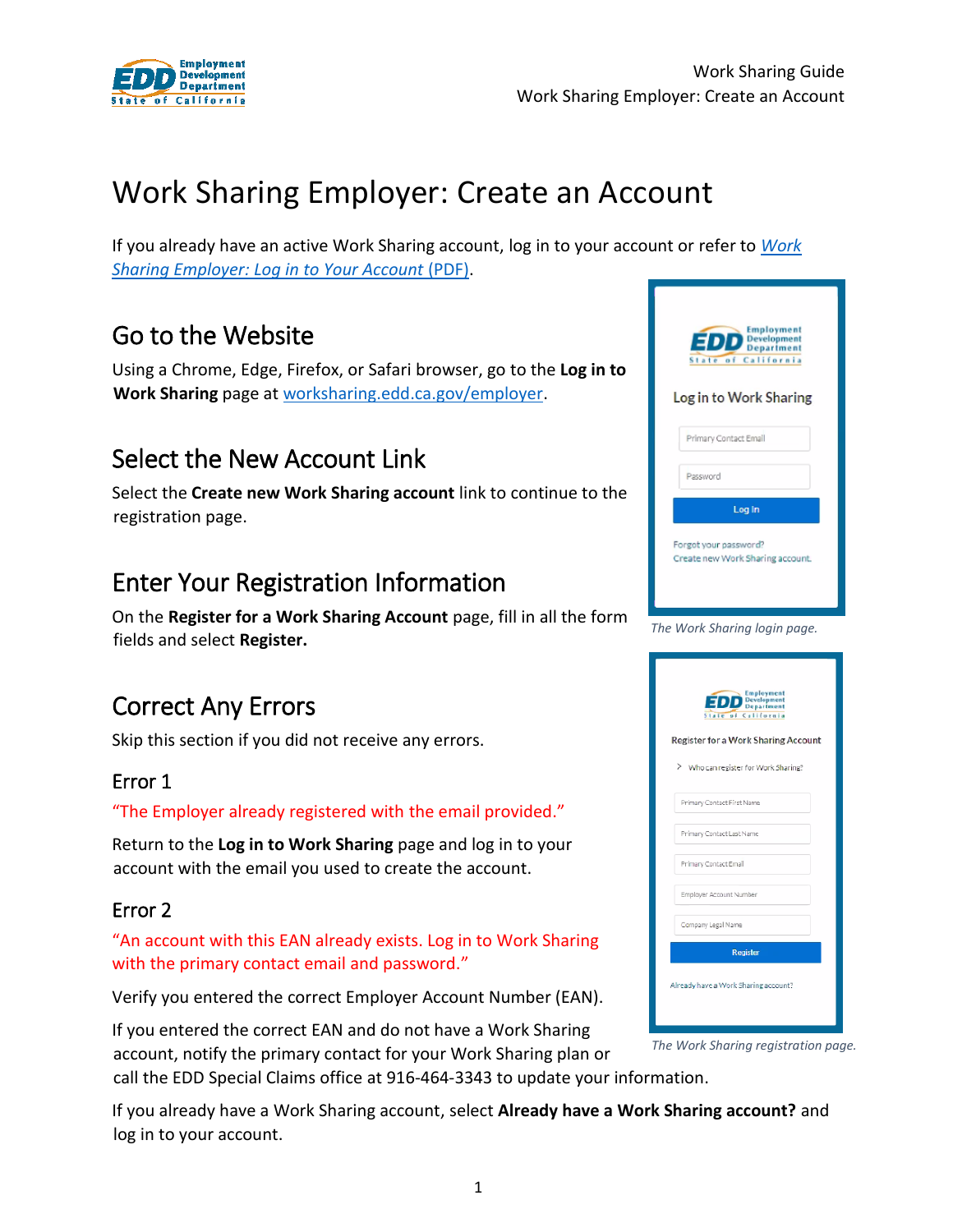

# Work Sharing Employer: Create an Account

If you already have an active Work Sharing account, log in to your account or refer to *[Work](https://edd.ca.gov/Unemployment/pdf/Guide-2_Work-Sharing-Employer_Log-in-to-Your-Account.pdf)  [Sharing Employer: Log in to Your Account](https://edd.ca.gov/Unemployment/pdf/Guide-2_Work-Sharing-Employer_Log-in-to-Your-Account.pdf)* (PDF).

## Go to the Website

Using a Chrome, Edge, Firefox, or Safari browser, go to the **Log in to Work Sharing** page a[t worksharing.edd.ca.gov/employer.](https://worksharing.edd.ca.gov/employer)

## Select the New Account Link

Select the **Create new Work Sharing account** link to continue to the registration page.

## Enter Your Registration Information

On the **Register for a Work Sharing Account** page, fill in all the form fields and select **Register.**

## Correct Any Errors

Skip this section if you did not receive any errors.

### Error 1

"The Employer already registered with the email provided."

Return to the **Log in to Work Sharing** page and log in to your account with the email you used to create the account.

### Error 2

"An account with this EAN already exists. Log in to Work Sharing with the primary contact email and password."

Verify you entered the correct Employer Account Number (EAN).

If you entered the correct EAN and do not have a Work Sharing account, notify the primary contact for your Work Sharing plan or

call the EDD Special Claims office at 916-464-3343 to update your information.

If you already have a Work Sharing account, select **Already have a Work Sharing account?** and log in to your account.



| Employment<br><b>EDD</b> Development<br>State of California<br>Register for a Work Sharing Account |
|----------------------------------------------------------------------------------------------------|
| > Who can register for Work Sharing?                                                               |
| Primary Contact First Name                                                                         |
| Primary Contact Last Name                                                                          |
| Primary Contact Email                                                                              |
| Employer Account Number                                                                            |
| Company Legal Name                                                                                 |
| <b>Register</b>                                                                                    |
| Already have a Work Sharing account?                                                               |

*The Work Sharing registration page.*